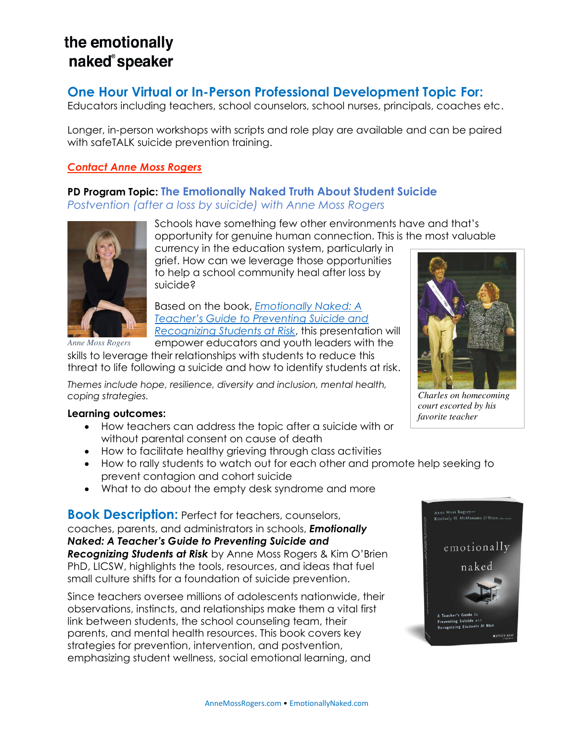# the emotionally naked<sup>®</sup>speaker

# **One Hour Virtual or In-Person Professional Development Topic For:**

Educators including teachers, school counselors, school nurses, principals, coaches etc.

Longer, in-person workshops with scripts and role play are available and can be paired with safeTALK suicide prevention training.

### *[Contact Anne Moss Rogers](https://annemoss.com/contact-2/)*

## **PD Program Topic: The Emotionally Naked Truth About Student Suicide**  *Postvention (after a loss by suicide) with Anne Moss Rogers*



Schools have something few other environments have and that's opportunity for genuine human connection. This is the most valuable

currency in the education system, particularly in grief. How can we leverage those opportunities to help a school community heal after loss by suicide?

Based on the book, *[Emotionally Naked: A](https://www.wiley.com/en-us/Emotionally+Naked%3A+A+Teacher%27s+Guide+to+Preventing+Suicide+and+Recognizing+Students+at+Risk-p-9781119758303)  [Teacher's Guide to Preventing Suicide and](https://www.wiley.com/en-us/Emotionally+Naked%3A+A+Teacher%27s+Guide+to+Preventing+Suicide+and+Recognizing+Students+at+Risk-p-9781119758303)  [Recognizing Students at Risk](https://www.wiley.com/en-us/Emotionally+Naked%3A+A+Teacher%27s+Guide+to+Preventing+Suicide+and+Recognizing+Students+at+Risk-p-9781119758303)*, this presentation will empower educators and youth leaders with the

skills to leverage their relationships with students to reduce this threat to life following a suicide and how to identify students at risk.

*Themes include hope, resilience, diversity and inclusion, mental health, coping strategies.* 

#### **Learning outcomes:**

- How teachers can address the topic after a suicide with or without parental consent on cause of death
- How to facilitate healthy grieving through class activities
- How to rally students to watch out for each other and promote help seeking to prevent contagion and cohort suicide
- What to do about the empty desk syndrome and more

**Book Description:** Perfect for teachers, counselors, coaches, parents, and administrators in schools, *Emotionally Naked: A Teacher's Guide to Preventing Suicide and Recognizing Students at Risk* by Anne Moss Rogers & Kim O'Brien PhD, LICSW, highlights the tools, resources, and ideas that fuel small culture shifts for a foundation of suicide prevention.

Since teachers oversee millions of adolescents nationwide, their observations, instincts, and relationships make them a vital first link between students, the school counseling team, their parents, and mental health resources. This book covers key strategies for prevention, intervention, and postvention, emphasizing student wellness, social emotional learning, and



*Charles on homecoming court escorted by his favorite teacher* 

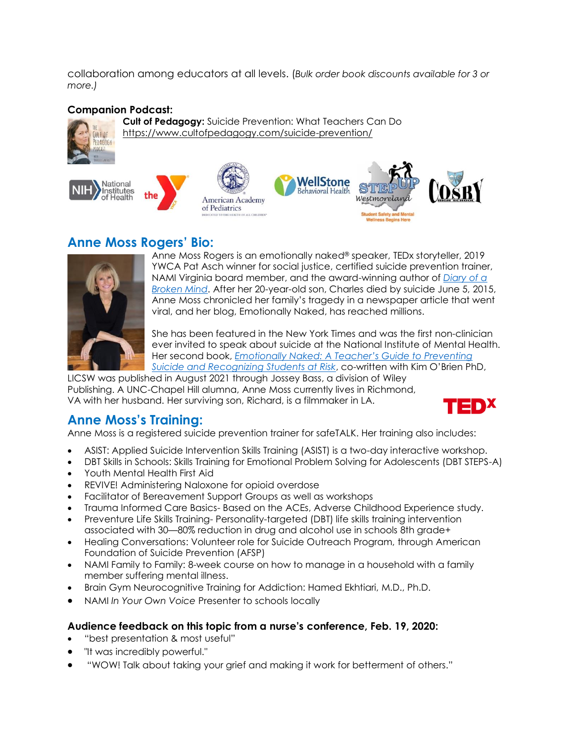collaboration among educators at all levels. (*Bulk order book discounts available for 3 or more.)*

### **Companion Podcast:**



**Cult of Pedagogy:** Suicide Prevention: What Teachers Can Do <https://www.cultofpedagogy.com/suicide-prevention/>



# **Anne Moss Rogers' Bio:**



Anne Moss Rogers is an emotionally naked® speaker, TEDx storyteller, 2019 YWCA Pat Asch winner for social justice, certified suicide prevention trainer, NAMI Virginia board member, and the award-winning author of *[Diary of a](https://annemoss.com/diaryofabrokenmind)  [Broken Mind](https://annemoss.com/diaryofabrokenmind)*. After her 20-year-old son, Charles died by suicide June 5, 2015, Anne Moss chronicled her family's tragedy in a newspaper article that went viral, and her blog, Emotionally Naked, has reached millions.

She has been featured in the New York Times and was the first non-clinician ever invited to speak about suicide at the National Institute of Mental Health. Her second book, *Emotionally Naked: [A Teacher's Guide to Preventing](https://annemoss.com/diaryofabrokenmind)  [Suicide and Recognizing Students at Risk](https://annemoss.com/diaryofabrokenmind)*, co-written with Kim O'Brien PhD,

LICSW was published in August 2021 through Jossey Bass, a division of Wiley Publishing. A UNC-Chapel Hill alumna, Anne Moss currently lives in Richmond, VA with her husband. Her surviving son, Richard, is a filmmaker in LA.



# **Anne Moss's Training:**

Anne Moss is a registered suicide prevention trainer for safeTALK. Her training also includes:

- ASIST: Applied Suicide Intervention Skills Training (ASIST) is a two-day interactive workshop.
- DBT Skills in Schools: Skills Training for Emotional Problem Solving for Adolescents (DBT STEPS-A)
- Youth Mental Health First Aid
- REVIVE! Administering Naloxone for opioid overdose
- Facilitator of Bereavement Support Groups as well as workshops
- Trauma Informed Care Basics- Based on the ACEs, Adverse Childhood Experience study.
- Preventure Life Skills Training- Personality-targeted (DBT) life skills training intervention associated with 30—80% reduction in drug and alcohol use in schools 8th grade+
- Healing Conversations: Volunteer role for Suicide Outreach Program, through American Foundation of Suicide Prevention (AFSP)
- NAMI Family to Family: 8-week course on how to manage in a household with a family member suffering mental illness.
- Brain Gym Neurocognitive Training for Addiction: Hamed Ekhtiari, M.D., Ph.D.
- NAMI *In Your Own Voice* Presenter to schools locally

### **Audience feedback on this topic from a nurse's conference, Feb. 19, 2020:**

- "best presentation & most useful"
- "It was incredibly powerful."
- "WOW! Talk about taking your grief and making it work for betterment of others."